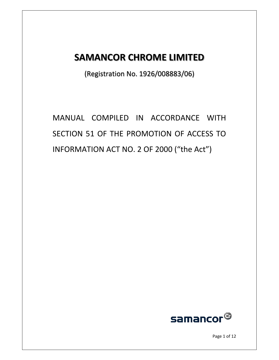# **SAMANCOR CHROME LIMITED**

(Registration No. 1926/008883/06)

MANUAL COMPILED IN ACCORDANCE WITH SECTION 51 OF THE PROMOTION OF ACCESS TO INFORMATION ACT NO. 2 OF 2000 ("the Act")



Page 1 of 12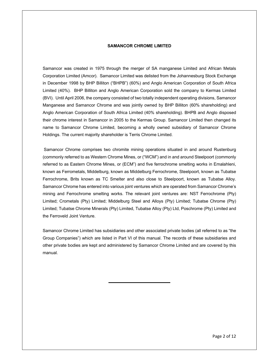### **SAMANCOR CHROME LIMITED**

Samancor was created in 1975 through the merger of SA manganese Limited and African Metals Corporation Limited (Amcor). Samancor Limited was delisted from the Johannesburg Stock Exchange in December 1998 by BHP Billiton ("BHPB") (60%) and Anglo American Corporation of South Africa Limited (40%). BHP Billiton and Anglo American Corporation sold the company to Kermas Limited (BVI). Until April 2006, the company consisted of two totally independent operating divisions, Samancor Manganese and Samancor Chrome and was jointly owned by BHP Billiton (60% shareholding) and Anglo American Corporation of South Africa Limited (40% shareholding). BHPB and Anglo disposed their chrome interest in Samancor in 2005 to the Kermas Group. Samancor Limited then changed its name to Samancor Chrome Limited, becoming a wholly owned subsidiary of Samancor Chrome Holdings. The current majority shareholder is Terris Chrome Limited.

 Samancor Chrome comprises two chromite mining operations situated in and around Rustenburg (commonly referred to as Western Chrome Mines, or ("WCM") and in and around Steelpoort (commonly referred to as Eastern Chrome Mines, or (ECM") and five ferrochrome smelting works in Emalahleni, known as Ferrometals, Middelburg, known as Middelburg Ferrochrome, Steelpoort, known as Tubatse Ferrochrome, Brits known as TC Smelter and also close to Steelpoort, known as Tubatse Alloy. Samancor Chrome has entered into various joint ventures which are operated from Samancor Chrome's mining and Ferrochrome smelting works. The relevant joint ventures are: NST Ferrochrome (Pty) Limited; Crometals (Pty) Limited; Middelburg Steel and Alloys (Pty) Limited; Tubatse Chrome (Pty) Limited; Tubatse Chrome Minerals (Pty) Limited, Tubatse Alloy (Pty) Ltd, Poschrome (Pty) Limited and the Ferroveld Joint Venture.

Samancor Chrome Limited has subsidiaries and other associated private bodies (all referred to as "the Group Companies") which are listed in Part VI of this manual. The records of these subsidiaries and other private bodies are kept and administered by Samancor Chrome Limited and are covered by this manual.

l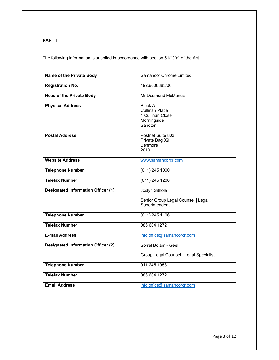**PART I** 

The following information is supplied in accordance with section 51(1)(a) of the Act.

| Name of the Private Body                  | <b>Samancor Chrome Limited</b>                                                        |  |
|-------------------------------------------|---------------------------------------------------------------------------------------|--|
| <b>Registration No.</b>                   | 1926/008883/06                                                                        |  |
| <b>Head of the Private Body</b>           | Mr Desmond McManus                                                                    |  |
| <b>Physical Address</b>                   | <b>Block A</b><br><b>Cullinan Place</b><br>1 Cullinan Close<br>Morningside<br>Sandton |  |
| <b>Postal Address</b>                     | Postnet Suite 803<br>Private Bag X9<br>Benmore<br>2010                                |  |
| <b>Website Address</b>                    | www.samancorcr.com                                                                    |  |
| <b>Telephone Number</b>                   | $(011)$ 245 1000                                                                      |  |
| <b>Telefax Number</b>                     | $(011)$ 245 1200                                                                      |  |
| <b>Designated Information Officer (1)</b> | Joslyn Sithole                                                                        |  |
|                                           | Senior Group Legal Counsel   Legal<br>Superintendent                                  |  |
| <b>Telephone Number</b>                   | $(011)$ 245 1106                                                                      |  |
| <b>Telefax Number</b>                     | 086 604 1272                                                                          |  |
| <b>E-mail Address</b>                     | info.office@samancorcr.com                                                            |  |
| <b>Designated Information Officer (2)</b> | Sorrel Bolam - Geel                                                                   |  |
|                                           | Group Legal Counsel   Legal Specialist                                                |  |
| <b>Telephone Number</b>                   | 011 245 1058                                                                          |  |
| <b>Telefax Number</b>                     | 086 604 1272                                                                          |  |
| <b>Email Address</b>                      | info.office@samancorcr.com                                                            |  |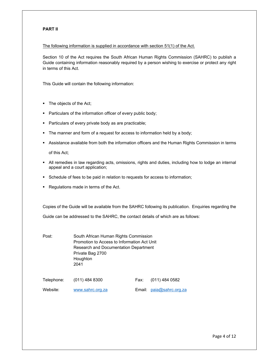# **PART II**

### The following information is supplied in accordance with section 51(1) of the Act.

Section 10 of the Act requires the South African Human Rights Commission (SAHRC) to publish a Guide containing information reasonably required by a person wishing to exercise or protect any right in terms of this Act.

This Guide will contain the following information:

- The objects of the Act;
- **Particulars of the information officer of every public body;**
- **Particulars of every private body as are practicable;**
- The manner and form of a request for access to information held by a body;
- Assistance available from both the information officers and the Human Rights Commission in terms of this Act;

- All remedies in law regarding acts, omissions, rights and duties, including how to lodge an internal appeal and a court application;
- Schedule of fees to be paid in relation to requests for access to information;
- Regulations made in terms of the Act.

Copies of the Guide will be available from the SAHRC following its publication. Enquiries regarding the

Guide can be addressed to the SAHRC, the contact details of which are as follows:

Post: South African Human Rights Commission Promotion to Access to Information Act Unit Research and Documentation Department Private Bag 2700 Houghton 2041

| Telephone: | $(011)$ 484 8300 | Fax: | (011) 484 0582              |
|------------|------------------|------|-----------------------------|
| Website:   | www.sahrc.org.za |      | Email: $p$ aia@sahrc.org.za |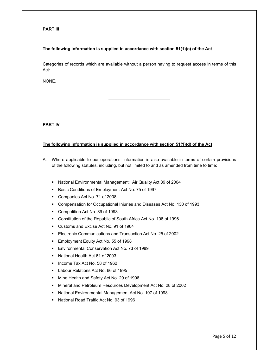# **PART III**

# **The following information is supplied in accordance with section 51(1)(c) of the Act**

Categories of records which are available without a person having to request access in terms of this Act:

NONE.

**PART IV** 

### **The following information is supplied in accordance with section 51(1)(d) of the Act**

- A. Where applicable to our operations, information is also available in terms of certain provisions of the following statutes, including, but not limited to and as amended from time to time:
	- National Environmental Management: Air Quality Act 39 of 2004
	- Basic Conditions of Employment Act No. 75 of 1997

- Companies Act No. 71 of 2008
- Compensation for Occupational Injuries and Diseases Act No. 130 of 1993
- Competition Act No. 89 of 1998
- Constitution of the Republic of South Africa Act No. 108 of 1996
- Customs and Excise Act No. 91 of 1964
- Electronic Communications and Transaction Act No. 25 of 2002
- **Employment Equity Act No. 55 of 1998**
- Environmental Conservation Act No. 73 of 1989
- National Health Act 61 of 2003
- Income Tax Act No. 58 of 1962
- **Labour Relations Act No. 66 of 1995**
- **Mine Health and Safety Act No. 29 of 1996**
- Mineral and Petroleum Resources Development Act No. 28 of 2002
- National Environmental Management Act No. 107 of 1998
- National Road Traffic Act No. 93 of 1996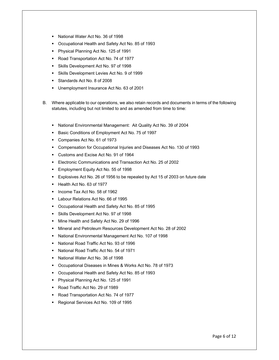- National Water Act No. 36 of 1998
- Occupational Health and Safety Act No. 85 of 1993
- **Physical Planning Act No. 125 of 1991**
- Road Transportation Act No. 74 of 1977
- Skills Development Act No. 97 of 1998
- Skills Development Levies Act No. 9 of 1999
- Standards Act No. 8 of 2008
- Unemployment Insurance Act No. 63 of 2001
- B. Where applicable to our operations, we also retain records and documents in terms of the following statutes, including but not limited to and as amended from time to time:
	- National Environmental Management: Ait Quality Act No. 39 of 2004
	- Basic Conditions of Employment Act No. 75 of 1997
	- Companies Act No. 61 of 1973
	- Compensation for Occupational Injuries and Diseases Act No. 130 of 1993
	- Customs and Excise Act No. 91 of 1964
	- Electronic Communications and Transaction Act No. 25 of 2002
	- Employment Equity Act No. 55 of 1998
	- Explosives Act No. 26 of 1956 to be repealed by Act 15 of 2003 on future date
	- Health Act No. 63 of 1977
	- Income Tax Act No. 58 of 1962
	- **Labour Relations Act No. 66 of 1995**
	- Occupational Health and Safety Act No. 85 of 1995
	- Skills Development Act No. 97 of 1998
	- **Mine Health and Safety Act No. 29 of 1996**
	- Mineral and Petroleum Resources Development Act No. 28 of 2002
	- National Environmental Management Act No. 107 of 1998
	- National Road Traffic Act No. 93 of 1996
	- National Road Traffic Act No. 54 of 1971
	- National Water Act No. 36 of 1998
	- Occupational Diseases in Mines & Works Act No. 78 of 1973
	- Occupational Health and Safety Act No. 85 of 1993
	- Physical Planning Act No. 125 of 1991
	- Road Traffic Act No. 29 of 1989
	- Road Transportation Act No. 74 of 1977
	- Regional Services Act No. 109 of 1995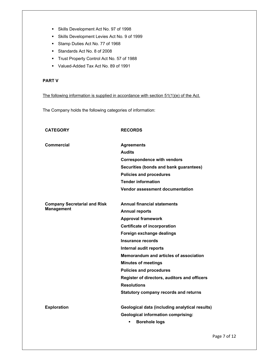- Skills Development Act No. 97 of 1998
- Skills Development Levies Act No. 9 of 1999
- Stamp Duties Act No. 77 of 1968
- Standards Act No. 8 of 2008
- Trust Property Control Act No. 57 of 1988
- Valued-Added Tax Act No. 89 of 1991

# **PART V**

The following information is supplied in accordance with section 51(1)(e) of the Act.

The Company holds the following categories of information:

| <b>CATEGORY</b>                                          | <b>RECORDS</b>                                 |
|----------------------------------------------------------|------------------------------------------------|
| Commercial                                               | <b>Agreements</b>                              |
|                                                          | <b>Audits</b>                                  |
|                                                          | <b>Correspondence with vendors</b>             |
|                                                          | Securities (bonds and bank guarantees)         |
|                                                          | <b>Policies and procedures</b>                 |
|                                                          | <b>Tender information</b>                      |
|                                                          | <b>Vendor assessment documentation</b>         |
| <b>Company Secretarial and Risk</b><br><b>Management</b> | <b>Annual financial statements</b>             |
|                                                          | <b>Annual reports</b>                          |
|                                                          | <b>Approval framework</b>                      |
|                                                          | <b>Certificate of incorporation</b>            |
|                                                          | Foreign exchange dealings                      |
|                                                          | Insurance records                              |
|                                                          | Internal audit reports                         |
|                                                          | Memorandum and articles of association         |
|                                                          | <b>Minutes of meetings</b>                     |
|                                                          | <b>Policies and procedures</b>                 |
|                                                          | Register of directors, auditors and officers   |
|                                                          | <b>Resolutions</b>                             |
|                                                          | <b>Statutory company records and returns</b>   |
| <b>Exploration</b>                                       | Geological data (including analytical results) |
|                                                          | <b>Geological information comprising:</b>      |
|                                                          | <b>Borehole logs</b><br>٠                      |
|                                                          |                                                |

Page 7 of 12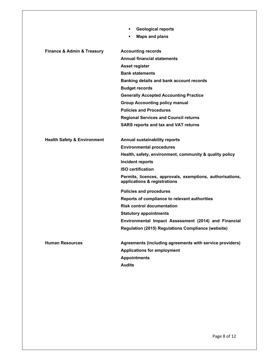|                                           | <b>Geological reports</b><br>٠                                                            |
|-------------------------------------------|-------------------------------------------------------------------------------------------|
|                                           | <b>Maps and plans</b><br>٠                                                                |
| <b>Finance &amp; Admin &amp; Treasury</b> | <b>Accounting records</b>                                                                 |
|                                           | <b>Annual financial statements</b>                                                        |
|                                           | Asset register                                                                            |
|                                           | <b>Bank statements</b>                                                                    |
|                                           | Banking details and bank account records                                                  |
|                                           | <b>Budget records</b>                                                                     |
|                                           | <b>Generally Accepted Accounting Practice</b>                                             |
|                                           | <b>Group Accounting policy manual</b>                                                     |
|                                           | <b>Policies and Procedures</b>                                                            |
|                                           | <b>Regional Services and Council returns</b>                                              |
|                                           | <b>SARS reports and tax and VAT returns</b>                                               |
| <b>Health Safety &amp; Environment</b>    | <b>Annual sustainability reports</b>                                                      |
|                                           | <b>Environmental procedures</b>                                                           |
|                                           | Health, safety, environment, community & quality policy                                   |
|                                           | Incident reports                                                                          |
|                                           | <b>ISO certification</b>                                                                  |
|                                           | Permits, licences, approvals, exemptions, authorisations,<br>applications & registrations |
|                                           | <b>Policies and procedures</b>                                                            |
|                                           | Reports of compliance to relevant authorities                                             |
|                                           | <b>Risk control documentation</b>                                                         |
|                                           | <b>Statutory appointments</b>                                                             |
|                                           | Environmental Impact Assessment (2014) and Financial                                      |
|                                           | Regulation (2015) Regulations Compliance (website)                                        |
| <b>Human Resources</b>                    | Agreements (including agreements with service providers)                                  |
|                                           | <b>Applications for employment</b>                                                        |
|                                           | <b>Appointments</b>                                                                       |
|                                           | <b>Audits</b>                                                                             |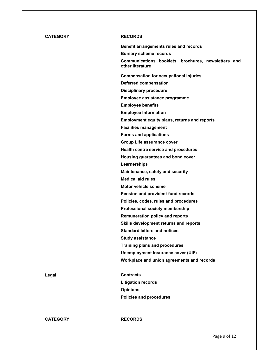# **CATEGORY RECORDS**

**Benefit arrangements rules and records Bursary scheme records Communications booklets, brochures, newsletters and other literature Compensation for occupational injuries Deferred compensation Disciplinary procedure Employee assistance programme Employee benefits Employee Information Employment equity plans, returns and reports Facilities management Forms and applications Group Life assurance cover Health centre service and procedures Housing guarantees and bond cover Learnerships Maintenance, safety and security Medical aid rules Motor vehicle scheme Pension and provident fund records Policies, codes, rules and procedures Professional society membership Remuneration policy and reports Skills development returns and reports Standard letters and notices Study assistance Training plans and procedures Unemployment Insurance cover (UIF) Workplace and union agreements and records Legal Contracts Litigation records Opinions Policies and procedures** 

**CATEGORY RECORDS**

Page 9 of 12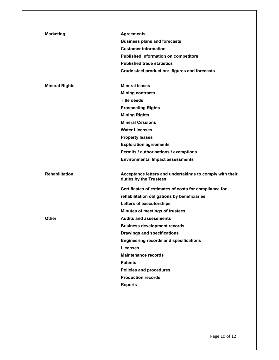| <b>Marketing</b>      | <b>Agreements</b>                                                                   |
|-----------------------|-------------------------------------------------------------------------------------|
|                       | <b>Business plans and forecasts</b>                                                 |
|                       | <b>Customer information</b>                                                         |
|                       | <b>Published information on competitors</b>                                         |
|                       | <b>Published trade statistics</b>                                                   |
|                       | Crude steel production: figures and forecasts                                       |
| <b>Mineral Rights</b> | <b>Mineral leases</b>                                                               |
|                       | <b>Mining contracts</b>                                                             |
|                       | <b>Title deeds</b>                                                                  |
|                       | <b>Prospecting Rights</b>                                                           |
|                       | <b>Mining Rights</b>                                                                |
|                       | <b>Mineral Cessions</b>                                                             |
|                       | <b>Water Licenses</b>                                                               |
|                       | <b>Property leases</b>                                                              |
|                       | <b>Exploration agreements</b>                                                       |
|                       | Permits / authorisations / exemptions                                               |
|                       | <b>Environmental Impact assessments</b>                                             |
| <b>Rehabilitation</b> | Acceptance letters and undertakings to comply with their<br>duties by the Trustees: |
|                       | Certificates of estimates of costs for compliance for                               |
|                       | rehabilitation obligations by beneficiaries                                         |
|                       | Letters of executorships                                                            |
|                       | Minutes of meetings of trustees                                                     |
| Other                 | <b>Audits and assessments</b>                                                       |
|                       | <b>Business development records</b>                                                 |
|                       |                                                                                     |
|                       | <b>Drawings and specifications</b>                                                  |
|                       | <b>Engineering records and specifications</b>                                       |
|                       | <b>Licenses</b>                                                                     |
|                       | <b>Maintenance records</b>                                                          |
|                       | <b>Patents</b>                                                                      |
|                       | <b>Policies and procedures</b>                                                      |
|                       | <b>Production records</b>                                                           |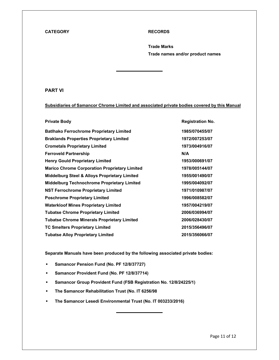### **CATEGORY RECORDS**

**Trade Marks Trade names and/or product names** 

# **PART VI**

# **Subsidiaries of Samancor Chrome Limited and associated private bodies covered by this Manual**

 $\overline{a}$ 

| <b>Private Body</b>                                      | <b>Registration No.</b> |
|----------------------------------------------------------|-------------------------|
| <b>Batihako Ferrochrome Proprietary Limited</b>          | 1985/070455/07          |
| <b>Braklands Properties Proprietary Limited</b>          | 1972/007253/07          |
| <b>Crometals Proprietary Limited</b>                     | 1973/004916/07          |
| <b>Ferroveld Partnership</b>                             | N/A                     |
| <b>Henry Gould Proprietary Limited</b>                   | 1953/000691/07          |
| <b>Marico Chrome Corporation Proprietary Limited</b>     | 1978/005144/07          |
| <b>Middelburg Steel &amp; Alloys Proprietary Limited</b> | 1955/001490/07          |
| <b>Middelburg Technochrome Proprietary Limited</b>       | 1995/004092/07          |
| <b>NST Ferrochrome Proprietary Limited</b>               | 1971/010987/07          |
| <b>Poschrome Proprietary Limited</b>                     | 1996/008582/07          |
| <b>Waterkloof Mines Proprietary Limited</b>              | 1957/004219/07          |
| <b>Tubatse Chrome Proprietary Limited</b>                | 2006/036994/07          |
| <b>Tubatse Chrome Minerals Proprietary Limited</b>       | 2006/028430/07          |
| <b>TC Smelters Proprietary Limited</b>                   | 2015/356496/07          |
| <b>Tubatse Alloy Proprietary Limited</b>                 | 2015/356066/07          |

**Separate Manuals have been produced by the following associated private bodies:** 

- **Samancor Pension Fund (No. PF 12/8/37727)**
- **Samancor Provident Fund (No. PF 12/8/37714)**
- **Samancor Group Provident Fund (FSB Registration No. 12/8/24225/1)**
- **The Samancor Rehabilitation Trust (No. IT 6256/98**
- **The Samancor Lesedi Environmental Trust (No. IT 003233/2016)**

 $\overline{a}$